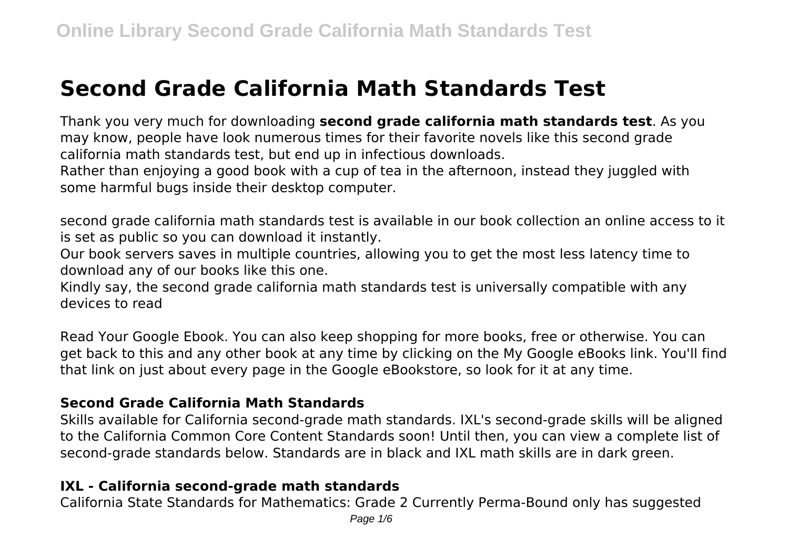# **Second Grade California Math Standards Test**

Thank you very much for downloading **second grade california math standards test**. As you may know, people have look numerous times for their favorite novels like this second grade california math standards test, but end up in infectious downloads.

Rather than enjoying a good book with a cup of tea in the afternoon, instead they juggled with some harmful bugs inside their desktop computer.

second grade california math standards test is available in our book collection an online access to it is set as public so you can download it instantly.

Our book servers saves in multiple countries, allowing you to get the most less latency time to download any of our books like this one.

Kindly say, the second grade california math standards test is universally compatible with any devices to read

Read Your Google Ebook. You can also keep shopping for more books, free or otherwise. You can get back to this and any other book at any time by clicking on the My Google eBooks link. You'll find that link on just about every page in the Google eBookstore, so look for it at any time.

# **Second Grade California Math Standards**

Skills available for California second-grade math standards. IXL's second-grade skills will be aligned to the California Common Core Content Standards soon! Until then, you can view a complete list of second-grade standards below. Standards are in black and IXL math skills are in dark green.

# **IXL - California second-grade math standards**

California State Standards for Mathematics: Grade 2 Currently Perma-Bound only has suggested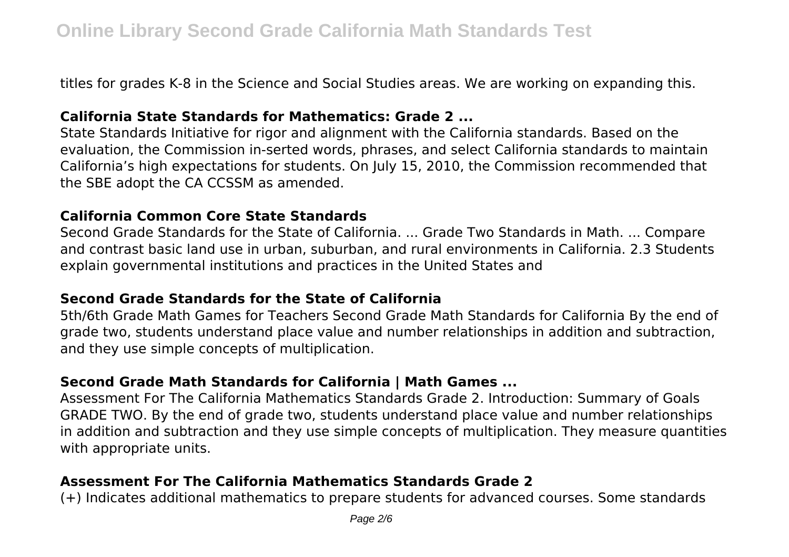titles for grades K-8 in the Science and Social Studies areas. We are working on expanding this.

# **California State Standards for Mathematics: Grade 2 ...**

State Standards Initiative for rigor and alignment with the California standards. Based on the evaluation, the Commission in-serted words, phrases, and select California standards to maintain California's high expectations for students. On July 15, 2010, the Commission recommended that the SBE adopt the CA CCSSM as amended.

# **California Common Core State Standards**

Second Grade Standards for the State of California. ... Grade Two Standards in Math. ... Compare and contrast basic land use in urban, suburban, and rural environments in California. 2.3 Students explain governmental institutions and practices in the United States and

# **Second Grade Standards for the State of California**

5th/6th Grade Math Games for Teachers Second Grade Math Standards for California By the end of grade two, students understand place value and number relationships in addition and subtraction, and they use simple concepts of multiplication.

# **Second Grade Math Standards for California | Math Games ...**

Assessment For The California Mathematics Standards Grade 2. Introduction: Summary of Goals GRADE TWO. By the end of grade two, students understand place value and number relationships in addition and subtraction and they use simple concepts of multiplication. They measure quantities with appropriate units.

# **Assessment For The California Mathematics Standards Grade 2**

(+) Indicates additional mathematics to prepare students for advanced courses. Some standards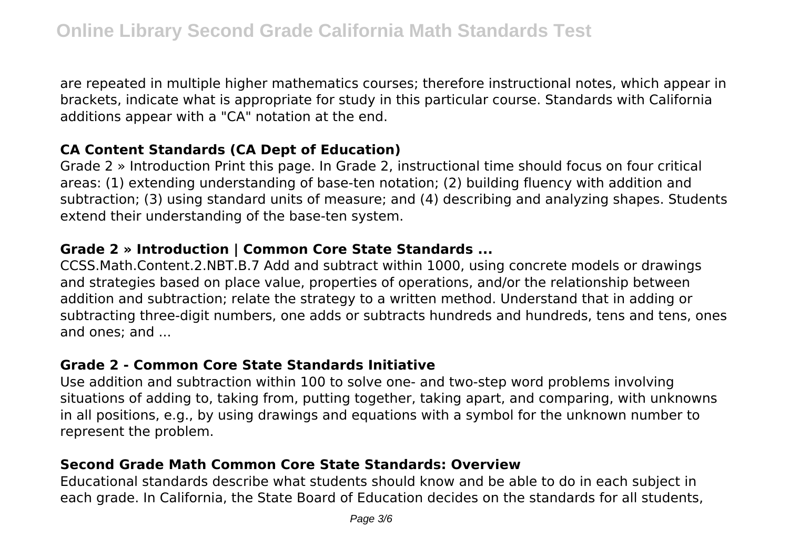are repeated in multiple higher mathematics courses; therefore instructional notes, which appear in brackets, indicate what is appropriate for study in this particular course. Standards with California additions appear with a "CA" notation at the end.

# **CA Content Standards (CA Dept of Education)**

Grade 2 » Introduction Print this page. In Grade 2, instructional time should focus on four critical areas: (1) extending understanding of base-ten notation; (2) building fluency with addition and subtraction; (3) using standard units of measure; and (4) describing and analyzing shapes. Students extend their understanding of the base-ten system.

# **Grade 2 » Introduction | Common Core State Standards ...**

CCSS.Math.Content.2.NBT.B.7 Add and subtract within 1000, using concrete models or drawings and strategies based on place value, properties of operations, and/or the relationship between addition and subtraction; relate the strategy to a written method. Understand that in adding or subtracting three-digit numbers, one adds or subtracts hundreds and hundreds, tens and tens, ones and ones; and ...

# **Grade 2 - Common Core State Standards Initiative**

Use addition and subtraction within 100 to solve one- and two-step word problems involving situations of adding to, taking from, putting together, taking apart, and comparing, with unknowns in all positions, e.g., by using drawings and equations with a symbol for the unknown number to represent the problem.

# **Second Grade Math Common Core State Standards: Overview**

Educational standards describe what students should know and be able to do in each subject in each grade. In California, the State Board of Education decides on the standards for all students,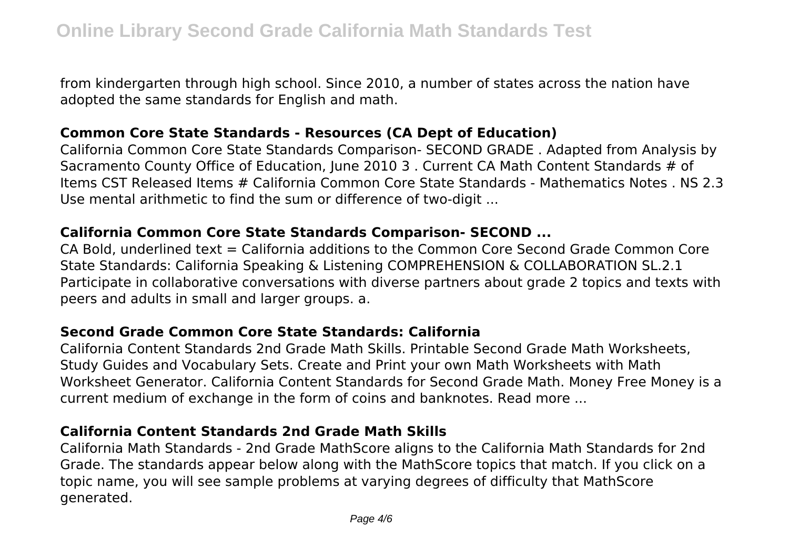from kindergarten through high school. Since 2010, a number of states across the nation have adopted the same standards for English and math.

# **Common Core State Standards - Resources (CA Dept of Education)**

California Common Core State Standards Comparison- SECOND GRADE . Adapted from Analysis by Sacramento County Office of Education, June 2010 3 . Current CA Math Content Standards # of Items CST Released Items # California Common Core State Standards - Mathematics Notes . NS 2.3 Use mental arithmetic to find the sum or difference of two-digit ...

# **California Common Core State Standards Comparison- SECOND ...**

CA Bold, underlined text = California additions to the Common Core Second Grade Common Core State Standards: California Speaking & Listening COMPREHENSION & COLLABORATION SL.2.1 Participate in collaborative conversations with diverse partners about grade 2 topics and texts with peers and adults in small and larger groups. a.

# **Second Grade Common Core State Standards: California**

California Content Standards 2nd Grade Math Skills. Printable Second Grade Math Worksheets, Study Guides and Vocabulary Sets. Create and Print your own Math Worksheets with Math Worksheet Generator. California Content Standards for Second Grade Math. Money Free Money is a current medium of exchange in the form of coins and banknotes. Read more ...

# **California Content Standards 2nd Grade Math Skills**

California Math Standards - 2nd Grade MathScore aligns to the California Math Standards for 2nd Grade. The standards appear below along with the MathScore topics that match. If you click on a topic name, you will see sample problems at varying degrees of difficulty that MathScore generated.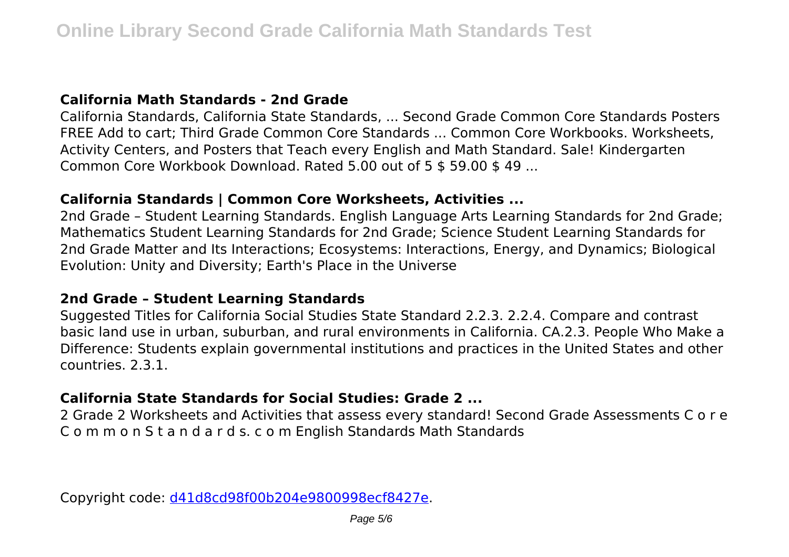# **California Math Standards - 2nd Grade**

California Standards, California State Standards, ... Second Grade Common Core Standards Posters FREE Add to cart; Third Grade Common Core Standards ... Common Core Workbooks. Worksheets, Activity Centers, and Posters that Teach every English and Math Standard. Sale! Kindergarten Common Core Workbook Download. Rated 5.00 out of 5 \$ 59.00 \$ 49 ...

# **California Standards | Common Core Worksheets, Activities ...**

2nd Grade – Student Learning Standards. English Language Arts Learning Standards for 2nd Grade; Mathematics Student Learning Standards for 2nd Grade; Science Student Learning Standards for 2nd Grade Matter and Its Interactions; Ecosystems: Interactions, Energy, and Dynamics; Biological Evolution: Unity and Diversity; Earth's Place in the Universe

# **2nd Grade – Student Learning Standards**

Suggested Titles for California Social Studies State Standard 2.2.3. 2.2.4. Compare and contrast basic land use in urban, suburban, and rural environments in California. CA.2.3. People Who Make a Difference: Students explain governmental institutions and practices in the United States and other countries. 2.3.1.

# **California State Standards for Social Studies: Grade 2 ...**

2 Grade 2 Worksheets and Activities that assess every standard! Second Grade Assessments C o r e C o m m o n S t a n d a r d s. c o m English Standards Math Standards

Copyright code: [d41d8cd98f00b204e9800998ecf8427e.](/sitemap.xml)